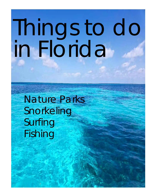# Things to do in Florida

Nature Parks Snorkeling Surfing Fishing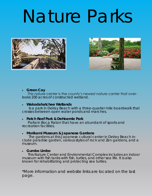### Nature Parks





#### **Green Cay**

 This nature center is the county's newest nature canter that overlooks 100 acres of constructed wetland.

**Wakodahatchee Wetlands** 

 Is a park in Delray Beach with a three-quarter mile boardwalk that crosses between open water ponds and marches.

**Patch Reef Park & DeHoernle Park** 

 Parks in Boca Raton that have an abundant of sports and recreation facilities.

**Morikami Museum & Japanese Gardens** 

 The gardens at this Japanese cultural center in Delray Beach include paradise garden, various styles of rock and Zen gardens, and a museum.

#### **Gumbo Limbo**

 This Nature Center and Environmental Complex includes an indoor museum with fish tanks with fish, turtles, and other sea life. It is also known for rehabilitating and protecting sea turtles.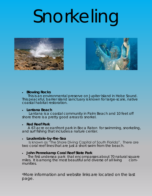## Snorkeling





**Blowing Rocks** 

 This is an environmental preserve on Jupiter Island in Hobe Sound. This peaceful, barrier island sanctuary is known for large-scale, native coastal habitat restoration.

**Lantana Beach** 

 Lantana is a coastal community in Palm Beach and 10 feet off shore there is a pretty good areas to snorkel.

**Red Reef Park** 

 A 67-acre oceanfront park in Boca Raton for swimming, snorkeling, and surf fishing that includes a nature center.

**Lauderdale-by-the-Sea**

 Is known as "The Shore Diving Capital of South Florida". There are two coral reef lines that are just a short swim from the beach.

**John Pennekamp Coral Reef State Park** 

 The first undersea park that encompasses about 70 natural square miles. It is among the most beautiful and diverse of all living communities.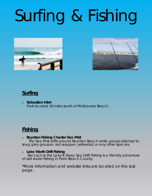### Surfing & Fishing





#### **Surfing**

 **Sebastian Inlet**  Park located 10 miles south of Melbourne Beach.

#### **Fishing**

**Boynton Fishing Charter Sea Mist** 

 The Sea Mist drifts around Boynton Beach while groups attempt to snag grey grouper, red snapper, yellowtail, or any other species.

**Lake Worth Drift Fishing** 

Bar Jack & the Lady K Deep Sea Drift Fishing is a friendly adventure of salt water fishing in Palm Beach County.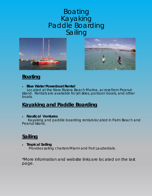#### **Boating** Kayaking Paddle Boarding Sailing





#### **Boating**

 **Blue Water Powerboat Rental**  Located at the New Riviera Beach Marina, across from Peanut Island. Rentals are available for jet skies, pontoon boats, and other boats.

#### **Kayaking and Paddle Boarding**

**Nautical Ventures** 

Kayaking and paddle boarding rentals located in Palm Beach and Peanut Island.

#### **Sailing**

 **Tropical Sailing**  Provides sailing charters Miami and Fort Lauderdale.